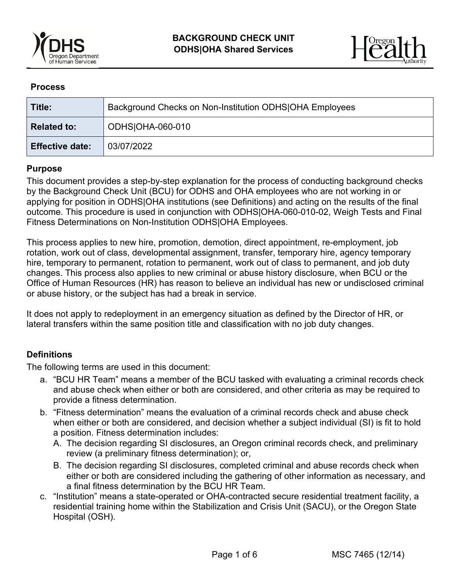



#### **Process**

| Title:                 | Background Checks on Non-Institution ODHS OHA Employees |
|------------------------|---------------------------------------------------------|
| <b>Related to:</b>     | ODHS OHA-060-010                                        |
| <b>Effective date:</b> | 03/07/2022                                              |

### **Purpose**

This document provides a step-by-step explanation for the process of conducting background checks by the Background Check Unit (BCU) for ODHS and OHA employees who are not working in or applying for position in ODHS|OHA institutions (see Definitions) and acting on the results of the final outcome. This procedure is used in conjunction with ODHS|OHA-060-010-02, Weigh Tests and Final Fitness Determinations on Non-Institution ODHS|OHA Employees.

This process applies to new hire, promotion, demotion, direct appointment, re-employment, job rotation, work out of class, developmental assignment, transfer, temporary hire, agency temporary hire, temporary to permanent, rotation to permanent, work out of class to permanent, and job duty changes. This process also applies to new criminal or abuse history disclosure, when BCU or the Office of Human Resources (HR) has reason to believe an individual has new or undisclosed criminal or abuse history, or the subject has had a break in service.

It does not apply to redeployment in an emergency situation as defined by the Director of HR, or lateral transfers within the same position title and classification with no job duty changes.

#### **Definitions**

The following terms are used in this document:

- a. "BCU HR Team" means a member of the BCU tasked with evaluating a criminal records check and abuse check when either or both are considered, and other criteria as may be required to provide a fitness determination.
- b. "Fitness determination" means the evaluation of a criminal records check and abuse check when either or both are considered, and decision whether a subject individual (SI) is fit to hold a position. Fitness determination includes:
	- A. The decision regarding SI disclosures, an Oregon criminal records check, and preliminary review (a preliminary fitness determination); or,
	- B. The decision regarding SI disclosures, completed criminal and abuse records check when either or both are considered including the gathering of other information as necessary, and a final fitness determination by the BCU HR Team.
- c. "Institution" means a state-operated or OHA-contracted secure residential treatment facility, a residential training home within the Stabilization and Crisis Unit (SACU), or the Oregon State Hospital (OSH).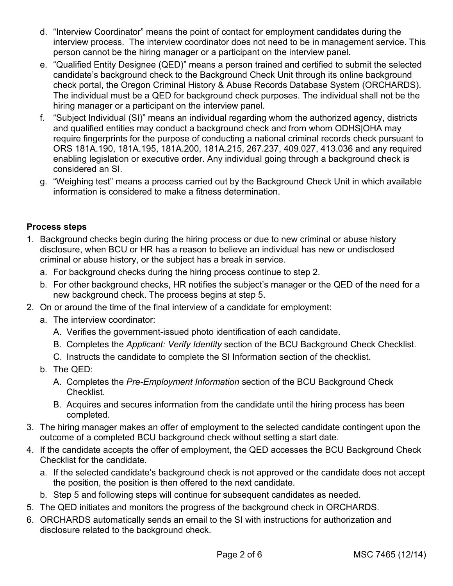- d. "Interview Coordinator" means the point of contact for employment candidates during the interview process. The interview coordinator does not need to be in management service. This person cannot be the hiring manager or a participant on the interview panel.
- e. "Qualified Entity Designee (QED)" means a person trained and certified to submit the selected candidate's background check to the Background Check Unit through its online background check portal, the Oregon Criminal History & Abuse Records Database System (ORCHARDS). The individual must be a QED for background check purposes. The individual shall not be the hiring manager or a participant on the interview panel.
- f. "Subject Individual (SI)" means an individual regarding whom the authorized agency, districts and qualified entities may conduct a background check and from whom ODHS|OHA may require fingerprints for the purpose of conducting a national criminal records check pursuant to ORS 181A.190, 181A.195, 181A.200, 181A.215, 267.237, 409.027, 413.036 and any required enabling legislation or executive order. Any individual going through a background check is considered an SI.
- g. "Weighing test" means a process carried out by the Background Check Unit in which available information is considered to make a fitness determination.

# **Process steps**

- 1. Background checks begin during the hiring process or due to new criminal or abuse history disclosure, when BCU or HR has a reason to believe an individual has new or undisclosed criminal or abuse history, or the subject has a break in service.
	- a. For background checks during the hiring process continue to step 2.
	- b. For other background checks, HR notifies the subject's manager or the QED of the need for a new background check. The process begins at step 5.
- 2. On or around the time of the final interview of a candidate for employment:
	- a. The interview coordinator:
		- A. Verifies the government-issued photo identification of each candidate.
		- B. Completes the *Applicant: Verify Identity* section of the BCU Background Check Checklist.
		- C. Instructs the candidate to complete the SI Information section of the checklist.
	- b. The QED:
		- A. Completes the *Pre-Employment Information* section of the BCU Background Check Checklist.
		- B. Acquires and secures information from the candidate until the hiring process has been completed.
- 3. The hiring manager makes an offer of employment to the selected candidate contingent upon the outcome of a completed BCU background check without setting a start date.
- 4. If the candidate accepts the offer of employment, the QED accesses the BCU Background Check Checklist for the candidate.
	- a. If the selected candidate's background check is not approved or the candidate does not accept the position, the position is then offered to the next candidate.
	- b. Step 5 and following steps will continue for subsequent candidates as needed.
- 5. The QED initiates and monitors the progress of the background check in ORCHARDS.
- 6. ORCHARDS automatically sends an email to the SI with instructions for authorization and disclosure related to the background check.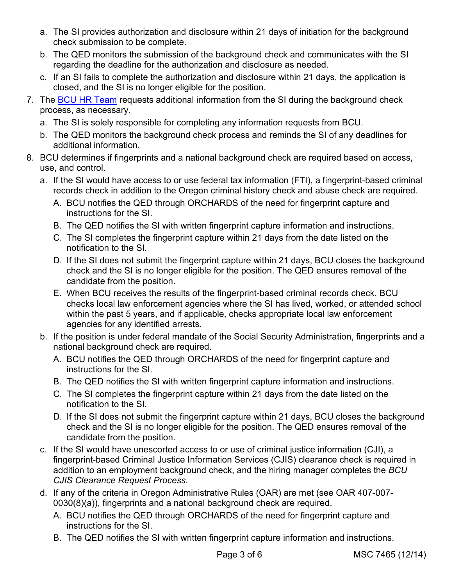- a. The SI provides authorization and disclosure within 21 days of initiation for the background check submission to be complete.
- b. The QED monitors the submission of the background check and communicates with the SI regarding the deadline for the authorization and disclosure as needed.
- c. If an SI fails to complete the authorization and disclosure within 21 days, the application is closed, and the SI is no longer eligible for the position.
- 7. The [BCU HR Team](mailto:BCU.HRBackgroundChecks@dhsoha.state.or.us) requests additional information from the SI during the background check process, as necessary.
	- a. The SI is solely responsible for completing any information requests from BCU.
	- b. The QED monitors the background check process and reminds the SI of any deadlines for additional information.
- 8. BCU determines if fingerprints and a national background check are required based on access, use, and control.
	- a. If the SI would have access to or use federal tax information (FTI), a fingerprint-based criminal records check in addition to the Oregon criminal history check and abuse check are required.
		- A. BCU notifies the QED through ORCHARDS of the need for fingerprint capture and instructions for the SI.
		- B. The QED notifies the SI with written fingerprint capture information and instructions.
		- C. The SI completes the fingerprint capture within 21 days from the date listed on the notification to the SI.
		- D. If the SI does not submit the fingerprint capture within 21 days, BCU closes the background check and the SI is no longer eligible for the position. The QED ensures removal of the candidate from the position.
		- E. When BCU receives the results of the fingerprint-based criminal records check, BCU checks local law enforcement agencies where the SI has lived, worked, or attended school within the past 5 years, and if applicable, checks appropriate local law enforcement agencies for any identified arrests.
	- b. If the position is under federal mandate of the Social Security Administration, fingerprints and a national background check are required.
		- A. BCU notifies the QED through ORCHARDS of the need for fingerprint capture and instructions for the SI.
		- B. The QED notifies the SI with written fingerprint capture information and instructions.
		- C. The SI completes the fingerprint capture within 21 days from the date listed on the notification to the SI.
		- D. If the SI does not submit the fingerprint capture within 21 days, BCU closes the background check and the SI is no longer eligible for the position. The QED ensures removal of the candidate from the position.
	- c. If the SI would have unescorted access to or use of criminal justice information (CJI), a fingerprint-based Criminal Justice Information Services (CJIS) clearance check is required in addition to an employment background check, and the hiring manager completes the *BCU CJIS Clearance Request Process*.
	- d. If any of the criteria in Oregon Administrative Rules (OAR) are met (see OAR 407-007- 0030(8)(a)), fingerprints and a national background check are required.
		- A. BCU notifies the QED through ORCHARDS of the need for fingerprint capture and instructions for the SI.
		- B. The QED notifies the SI with written fingerprint capture information and instructions.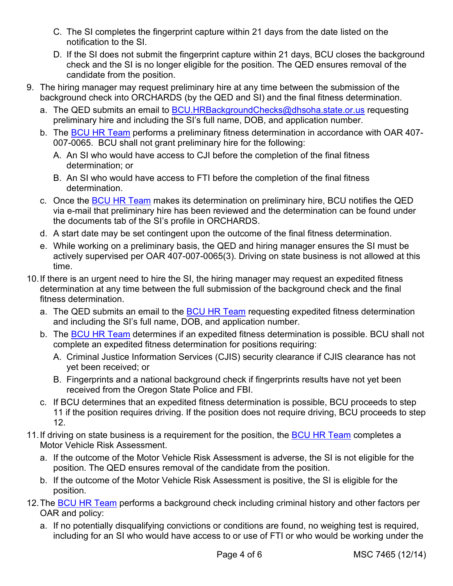- C. The SI completes the fingerprint capture within 21 days from the date listed on the notification to the SI.
- D. If the SI does not submit the fingerprint capture within 21 days, BCU closes the background check and the SI is no longer eligible for the position. The QED ensures removal of the candidate from the position.
- 9. The hiring manager may request preliminary hire at any time between the submission of the background check into ORCHARDS (by the QED and SI) and the final fitness determination.
	- a. The QED submits an email to [BCU.HRBackgroundChecks@dhsoha.state.or.us](mailto:BCU.HRBackgroundChecks@dhsoha.state.or.us) requesting preliminary hire and including the SI's full name, DOB, and application number.
	- b. The **BCU HR Team** performs a preliminary fitness determination in accordance with OAR 407-007-0065. BCU shall not grant preliminary hire for the following:
		- A. An SI who would have access to CJI before the completion of the final fitness determination; or
		- B. An SI who would have access to FTI before the completion of the final fitness determination.
	- c. Once the [BCU HR Team](mailto:BCU.HRBackgroundChecks@dhsoha.state.or.us) makes its determination on preliminary hire, BCU notifies the QED via e-mail that preliminary hire has been reviewed and the determination can be found under the documents tab of the SI's profile in ORCHARDS.
	- d. A start date may be set contingent upon the outcome of the final fitness determination.
	- e. While working on a preliminary basis, the QED and hiring manager ensures the SI must be actively supervised per OAR 407-007-0065(3). Driving on state business is not allowed at this time.
- 10.If there is an urgent need to hire the SI, the hiring manager may request an expedited fitness determination at any time between the full submission of the background check and the final fitness determination.
	- a. The QED submits an email to the [BCU HR Team](mailto:BCU.HRBackgroundChecks@dhsoha.state.or.us) requesting expedited fitness determination and including the SI's full name, DOB, and application number.
	- b. The [BCU HR Team](mailto:BCU.HRBackgroundChecks@dhsoha.state.or.us) determines if an expedited fitness determination is possible. BCU shall not complete an expedited fitness determination for positions requiring:
		- A. Criminal Justice Information Services (CJIS) security clearance if CJIS clearance has not yet been received; or
		- B. Fingerprints and a national background check if fingerprints results have not yet been received from the Oregon State Police and FBI.
	- c. If BCU determines that an expedited fitness determination is possible, BCU proceeds to step 11 if the position requires driving. If the position does not require driving, BCU proceeds to step 12.
- 11. If driving on state business is a requirement for the position, the [BCU HR Team](mailto:BCU.HRBackgroundChecks@dhsoha.state.or.us) completes a Motor Vehicle Risk Assessment.
	- a. If the outcome of the Motor Vehicle Risk Assessment is adverse, the SI is not eligible for the position. The QED ensures removal of the candidate from the position.
	- b. If the outcome of the Motor Vehicle Risk Assessment is positive, the SI is eligible for the position.
- 12. The [BCU HR Team](mailto:BCU.HRBackgroundChecks@dhsoha.state.or.us) performs a background check including criminal history and other factors per OAR and policy:
	- a. If no potentially disqualifying convictions or conditions are found, no weighing test is required, including for an SI who would have access to or use of FTI or who would be working under the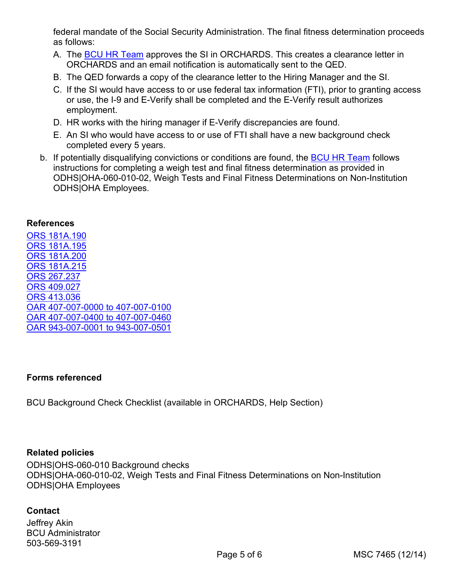federal mandate of the Social Security Administration. The final fitness determination proceeds as follows:

- A. The [BCU HR Team](mailto:BCU.HRBackgroundChecks@dhsoha.state.or.us) approves the SI in ORCHARDS. This creates a clearance letter in ORCHARDS and an email notification is automatically sent to the QED.
- B. The QED forwards a copy of the clearance letter to the Hiring Manager and the SI.
- C. If the SI would have access to or use federal tax information (FTI), prior to granting access or use, the I-9 and E-Verify shall be completed and the E-Verify result authorizes employment.
- D. HR works with the hiring manager if E-Verify discrepancies are found.
- E. An SI who would have access to or use of FTI shall have a new background check completed every 5 years.
- b. If potentially disqualifying convictions or conditions are found, the [BCU HR Team](mailto:BCU.HRBackgroundChecks@dhsoha.state.or.us) follows instructions for completing a weigh test and final fitness determination as provided in ODHS|OHA-060-010-02, Weigh Tests and Final Fitness Determinations on Non-Institution ODHS|OHA Employees.

#### **References**

[ORS 181A.190](https://www.oregonlegislature.gov/bills_laws/ors/ors181A.html) [ORS 181A.195](https://www.oregonlegislature.gov/bills_laws/ors/ors181A.html) [ORS 181A.200](https://www.oregonlegislature.gov/bills_laws/ors/ors181A.html) [ORS 181A.215](https://www.oregonlegislature.gov/bills_laws/ors/ors181A.html) [ORS 267.237](https://www.oregonlegislature.gov/bills_laws/ors/ors267.html) [ORS 409.027](https://www.oregonlegislature.gov/bills_laws/ors/ors409.html) [ORS 413.036](https://www.oregonlegislature.gov/bills_laws/ors/ors413.html) [OAR 407-007-0000 to 407-007-0100](https://secure.sos.state.or.us/oard/displayDivisionRules.action?selectedDivision=1626) [OAR 407-007-0400 to 407-007-0460](https://secure.sos.state.or.us/oard/displayDivisionRules.action?selectedDivision=1626) [OAR 943-007-0001 to 943-007-0501](https://secure.sos.state.or.us/oard/displayDivisionRules.action?selectedDivision=4201)

## **Forms referenced**

BCU Background Check Checklist (available in ORCHARDS, Help Section)

#### **Related policies**

ODHS|OHS-060-010 Background checks ODHS|OHA-060-010-02, Weigh Tests and Final Fitness Determinations on Non-Institution ODHS|OHA Employees

## **Contact**

Jeffrey Akin BCU Administrator 503-569-3191